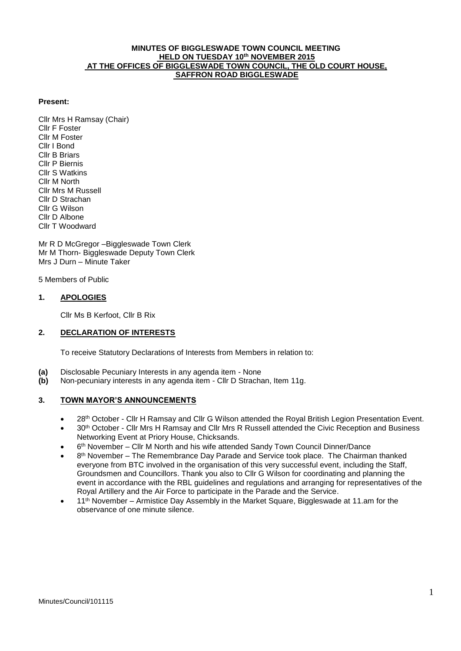### **MINUTES OF BIGGLESWADE TOWN COUNCIL MEETING HELD ON TUESDAY 10th NOVEMBER 2015 AT THE OFFICES OF BIGGLESWADE TOWN COUNCIL, THE OLD COURT HOUSE, SAFFRON ROAD BIGGLESWADE**

### **Present:**

Cllr Mrs H Ramsay (Chair) Cllr F Foster Cllr M Foster Cllr I Bond Cllr B Briars Cllr P Biernis Cllr S Watkins Cllr M North Cllr Mrs M Russell Cllr D Strachan Cllr G Wilson Cllr D Albone Cllr T Woodward

Mr R D McGregor –Biggleswade Town Clerk Mr M Thorn- Biggleswade Deputy Town Clerk Mrs J Durn – Minute Taker

5 Members of Public

### **1. APOLOGIES**

Cllr Ms B Kerfoot, Cllr B Rix

# **2. DECLARATION OF INTERESTS**

To receive Statutory Declarations of Interests from Members in relation to:

- **(a)** Disclosable Pecuniary Interests in any agenda item None
- **(b)** Non-pecuniary interests in any agenda item Cllr D Strachan, Item 11g.

# **3. TOWN MAYOR'S ANNOUNCEMENTS**

- 28th October Cllr H Ramsay and Cllr G Wilson attended the Royal British Legion Presentation Event.
- 30th October Cllr Mrs H Ramsay and Cllr Mrs R Russell attended the Civic Reception and Business Networking Event at Priory House, Chicksands.
- 6<sup>th</sup> November Cllr M North and his wife attended Sandy Town Council Dinner/Dance
- $\bullet$  8<sup>th</sup> November The Remembrance Day Parade and Service took place. The Chairman thanked everyone from BTC involved in the organisation of this very successful event, including the Staff, Groundsmen and Councillors. Thank you also to Cllr G Wilson for coordinating and planning the event in accordance with the RBL guidelines and regulations and arranging for representatives of the Royal Artillery and the Air Force to participate in the Parade and the Service.
- 11<sup>th</sup> November Armistice Dav Assembly in the Market Square, Biggleswade at 11.am for the observance of one minute silence.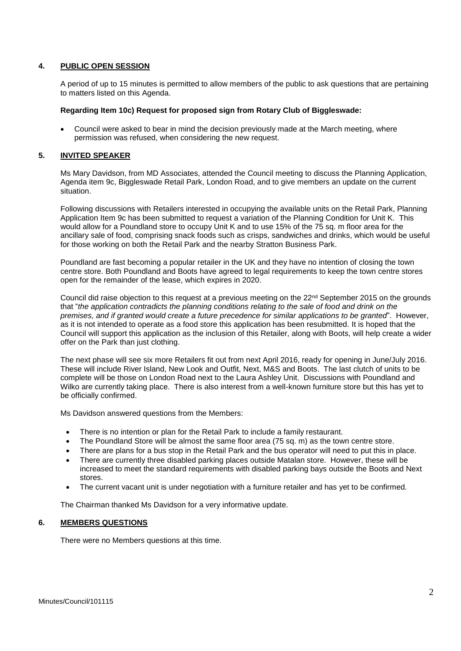# **4. PUBLIC OPEN SESSION**

A period of up to 15 minutes is permitted to allow members of the public to ask questions that are pertaining to matters listed on this Agenda.

#### **Regarding Item 10c) Request for proposed sign from Rotary Club of Biggleswade:**

 Council were asked to bear in mind the decision previously made at the March meeting, where permission was refused, when considering the new request.

### **5. INVITED SPEAKER**

Ms Mary Davidson, from MD Associates, attended the Council meeting to discuss the Planning Application, Agenda item 9c, Biggleswade Retail Park, London Road, and to give members an update on the current situation.

Following discussions with Retailers interested in occupying the available units on the Retail Park, Planning Application Item 9c has been submitted to request a variation of the Planning Condition for Unit K. This would allow for a Poundland store to occupy Unit K and to use 15% of the 75 sq. m floor area for the ancillary sale of food, comprising snack foods such as crisps, sandwiches and drinks, which would be useful for those working on both the Retail Park and the nearby Stratton Business Park.

Poundland are fast becoming a popular retailer in the UK and they have no intention of closing the town centre store. Both Poundland and Boots have agreed to legal requirements to keep the town centre stores open for the remainder of the lease, which expires in 2020.

Council did raise objection to this request at a previous meeting on the 22<sup>nd</sup> September 2015 on the grounds that "*the application contradicts the planning conditions relating to the sale of food and drink on the premises, and if granted would create a future precedence for similar applications to be granted*". However, as it is not intended to operate as a food store this application has been resubmitted. It is hoped that the Council will support this application as the inclusion of this Retailer, along with Boots, will help create a wider offer on the Park than just clothing.

The next phase will see six more Retailers fit out from next April 2016, ready for opening in June/July 2016. These will include River Island, New Look and Outfit, Next, M&S and Boots. The last clutch of units to be complete will be those on London Road next to the Laura Ashley Unit. Discussions with Poundland and Wilko are currently taking place. There is also interest from a well-known furniture store but this has yet to be officially confirmed.

Ms Davidson answered questions from the Members:

- There is no intention or plan for the Retail Park to include a family restaurant.
- The Poundland Store will be almost the same floor area (75 sq. m) as the town centre store.
- There are plans for a bus stop in the Retail Park and the bus operator will need to put this in place.
- There are currently three disabled parking places outside Matalan store. However, these will be increased to meet the standard requirements with disabled parking bays outside the Boots and Next stores.
- The current vacant unit is under negotiation with a furniture retailer and has yet to be confirmed.

The Chairman thanked Ms Davidson for a very informative update.

#### **6. MEMBERS QUESTIONS**

There were no Members questions at this time.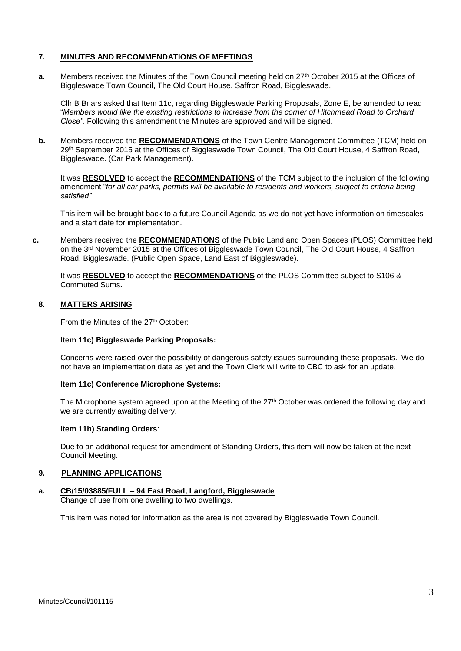### **7. MINUTES AND RECOMMENDATIONS OF MEETINGS**

**a.** Members received the Minutes of the Town Council meeting held on 27<sup>th</sup> October 2015 at the Offices of Biggleswade Town Council, The Old Court House, Saffron Road, Biggleswade.

Cllr B Briars asked that Item 11c, regarding Biggleswade Parking Proposals, Zone E, be amended to read "*Members would like the existing restrictions to increase from the corner of Hitchmead Road to Orchard Close".* Following this amendment the Minutes are approved and will be signed.

**b.** Members received the **RECOMMENDATIONS** of the Town Centre Management Committee (TCM) held on 29th September 2015 at the Offices of Biggleswade Town Council, The Old Court House, 4 Saffron Road, Biggleswade. (Car Park Management).

It was **RESOLVED** to accept the **RECOMMENDATIONS** of the TCM subject to the inclusion of the following amendment "*for all car parks, permits will be available to residents and workers, subject to criteria being satisfied"*

This item will be brought back to a future Council Agenda as we do not yet have information on timescales and a start date for implementation.

**c.** Members received the **RECOMMENDATIONS** of the Public Land and Open Spaces (PLOS) Committee held on the 3<sup>rd</sup> November 2015 at the Offices of Biggleswade Town Council, The Old Court House, 4 Saffron Road, Biggleswade. (Public Open Space, Land East of Biggleswade).

It was **RESOLVED** to accept the **RECOMMENDATIONS** of the PLOS Committee subject to S106 & Commuted Sums**.** 

### **8. MATTERS ARISING**

From the Minutes of the 27<sup>th</sup> October:

### **Item 11c) Biggleswade Parking Proposals:**

Concerns were raised over the possibility of dangerous safety issues surrounding these proposals. We do not have an implementation date as yet and the Town Clerk will write to CBC to ask for an update.

# **Item 11c) Conference Microphone Systems:**

The Microphone system agreed upon at the Meeting of the 27<sup>th</sup> October was ordered the following day and we are currently awaiting delivery.

#### **Item 11h) Standing Orders**:

Due to an additional request for amendment of Standing Orders, this item will now be taken at the next Council Meeting.

#### **9. PLANNING APPLICATIONS**

#### **a. CB/15/03885/FULL – 94 East Road, Langford, Biggleswade**

Change of use from one dwelling to two dwellings.

This item was noted for information as the area is not covered by Biggleswade Town Council.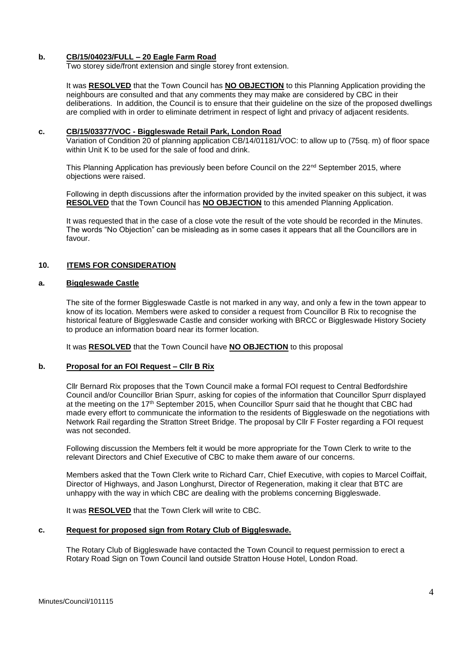### **b. CB/15/04023/FULL – 20 Eagle Farm Road**

Two storey side/front extension and single storey front extension.

It was **RESOLVED** that the Town Council has **NO OBJECTION** to this Planning Application providing the neighbours are consulted and that any comments they may make are considered by CBC in their deliberations. In addition, the Council is to ensure that their guideline on the size of the proposed dwellings are complied with in order to eliminate detriment in respect of light and privacy of adjacent residents.

#### **c. CB/15/03377/VOC - Biggleswade Retail Park, London Road**

Variation of Condition 20 of planning application CB/14/01181/VOC: to allow up to (75sq. m) of floor space within Unit K to be used for the sale of food and drink.

This Planning Application has previously been before Council on the  $22<sup>nd</sup>$  September 2015, where objections were raised.

Following in depth discussions after the information provided by the invited speaker on this subject, it was **RESOLVED** that the Town Council has **NO OBJECTION** to this amended Planning Application.

It was requested that in the case of a close vote the result of the vote should be recorded in the Minutes. The words "No Objection" can be misleading as in some cases it appears that all the Councillors are in favour.

### **10. ITEMS FOR CONSIDERATION**

#### **a. Biggleswade Castle**

The site of the former Biggleswade Castle is not marked in any way, and only a few in the town appear to know of its location. Members were asked to consider a request from Councillor B Rix to recognise the historical feature of Biggleswade Castle and consider working with BRCC or Biggleswade History Society to produce an information board near its former location.

It was **RESOLVED** that the Town Council have **NO OBJECTION** to this proposal

#### **b. Proposal for an FOI Request – Cllr B Rix**

Cllr Bernard Rix proposes that the Town Council make a formal FOI request to Central Bedfordshire Council and/or Councillor Brian Spurr, asking for copies of the information that Councillor Spurr displayed at the meeting on the 17<sup>th</sup> September 2015, when Councillor Spurr said that he thought that CBC had made every effort to communicate the information to the residents of Biggleswade on the negotiations with Network Rail regarding the Stratton Street Bridge. The proposal by Cllr F Foster regarding a FOI request was not seconded.

Following discussion the Members felt it would be more appropriate for the Town Clerk to write to the relevant Directors and Chief Executive of CBC to make them aware of our concerns.

Members asked that the Town Clerk write to Richard Carr, Chief Executive, with copies to Marcel Coiffait, Director of Highways, and Jason Longhurst, Director of Regeneration, making it clear that BTC are unhappy with the way in which CBC are dealing with the problems concerning Biggleswade.

It was **RESOLVED** that the Town Clerk will write to CBC.

### **c. Request for proposed sign from Rotary Club of Biggleswade.**

 The Rotary Club of Biggleswade have contacted the Town Council to request permission to erect a Rotary Road Sign on Town Council land outside Stratton House Hotel, London Road.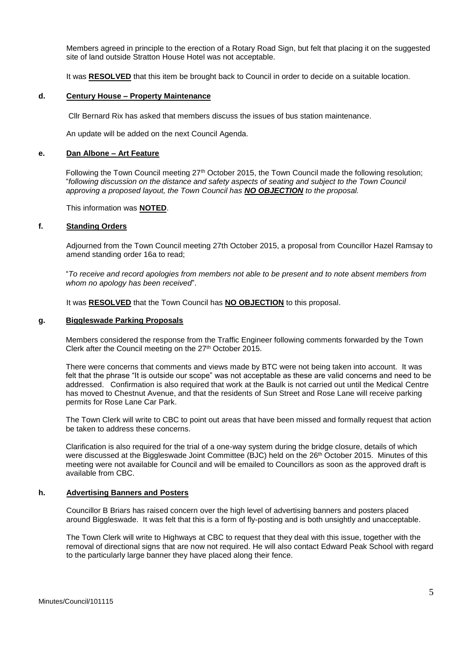Members agreed in principle to the erection of a Rotary Road Sign, but felt that placing it on the suggested site of land outside Stratton House Hotel was not acceptable.

It was **RESOLVED** that this item be brought back to Council in order to decide on a suitable location.

#### **d. Century House – Property Maintenance**

Cllr Bernard Rix has asked that members discuss the issues of bus station maintenance.

An update will be added on the next Council Agenda.

### **e. Dan Albone – Art Feature**

Following the Town Council meeting 27<sup>th</sup> October 2015, the Town Council made the following resolution; "*following discussion on the distance and safety aspects of seating and subject to the Town Council approving a proposed layout, the Town Council has NO OBJECTION to the proposal.*

This information was **NOTED**.

#### **f. Standing Orders**

Adjourned from the Town Council meeting 27th October 2015, a proposal from Councillor Hazel Ramsay to amend standing order 16a to read;

"*To receive and record apologies from members not able to be present and to note absent members from whom no apology has been received*".

It was **RESOLVED** that the Town Council has **NO OBJECTION** to this proposal.

### **g. Biggleswade Parking Proposals**

Members considered the response from the Traffic Engineer following comments forwarded by the Town Clerk after the Council meeting on the 27<sup>th</sup> October 2015.

There were concerns that comments and views made by BTC were not being taken into account. It was felt that the phrase "It is outside our scope" was not acceptable as these are valid concerns and need to be addressed. Confirmation is also required that work at the Baulk is not carried out until the Medical Centre has moved to Chestnut Avenue, and that the residents of Sun Street and Rose Lane will receive parking permits for Rose Lane Car Park.

The Town Clerk will write to CBC to point out areas that have been missed and formally request that action be taken to address these concerns.

Clarification is also required for the trial of a one-way system during the bridge closure, details of which were discussed at the Biggleswade Joint Committee (BJC) held on the 26<sup>th</sup> October 2015. Minutes of this meeting were not available for Council and will be emailed to Councillors as soon as the approved draft is available from CBC.

#### **h. Advertising Banners and Posters**

Councillor B Briars has raised concern over the high level of advertising banners and posters placed around Biggleswade. It was felt that this is a form of fly-posting and is both unsightly and unacceptable.

The Town Clerk will write to Highways at CBC to request that they deal with this issue, together with the removal of directional signs that are now not required. He will also contact Edward Peak School with regard to the particularly large banner they have placed along their fence.